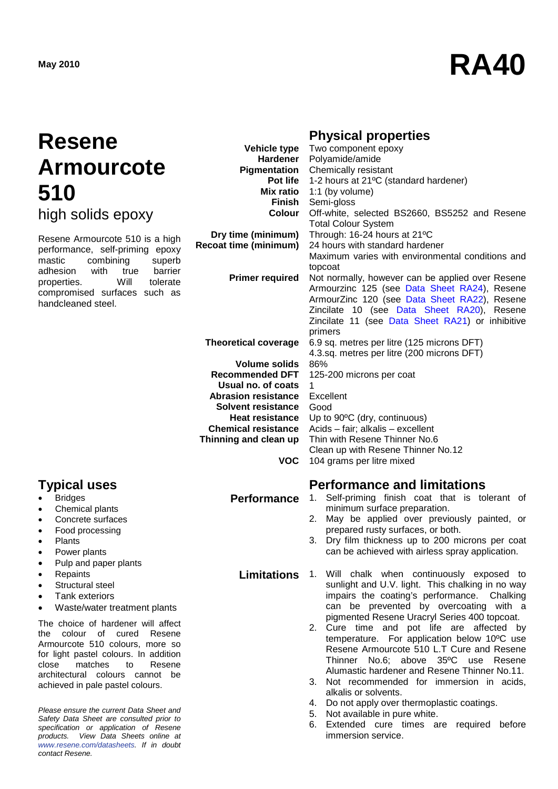# **May <sup>2010</sup> RA40**

# **Resene Armourcote 510**

high solids epoxy

Resene Armourcote 510 is a high performance, self-priming epoxy<br>mastic combining superb combining adhesion with true barrier<br>properties. Will tolerate properties. Will tolerate compromised surfaces such as handcleaned steel.

- **Bridges**
- Chemical plants
- Concrete surfaces
- Food processing
- Plants
- Power plants
- Pulp and paper plants
- Repaints
- Structural steel
- Tank exteriors
- Waste/water treatment plants

The choice of hardener will affect the colour of cured Resene Armourcote 510 colours, more so for light pastel colours. In addition close matches to Resene architectural colours cannot be achieved in pale pastel colours.

*Please ensure the current Data Sheet and Safety Data Sheet are consulted prior to specification or application of Resene products. View Data Sheets online at [www.resene.com/datasheets.](http://www.resene.com/datasheets) If in doubt contact Resene.*

# **Physical properties**

| <b>Vehicle type</b>          | Two component epoxy                              |
|------------------------------|--------------------------------------------------|
| <b>Hardener</b>              | Polyamide/amide                                  |
| Pigmentation                 | Chemically resistant                             |
| <b>Pot life</b>              | 1-2 hours at 21°C (standard hardener)            |
| <b>Mix ratio</b>             | 1:1 (by volume)                                  |
| <b>Finish</b>                | Semi-gloss                                       |
| Colour                       | Off-white, selected BS2660, BS5252 and Resene    |
|                              | <b>Total Colour System</b>                       |
| Dry time (minimum)           | Through: 16-24 hours at 21°C                     |
| <b>Recoat time (minimum)</b> | 24 hours with standard hardener                  |
|                              | Maximum varies with environmental conditions and |
|                              | topcoat                                          |
| <b>Primer required</b>       | Not normally, however can be applied over Resene |
|                              | Armourzinc 125 (see Data Sheet RA24), Resene     |
|                              | ArmourZinc 120 (see Data Sheet RA22), Resene     |
|                              | Zincilate 10 (see Data Sheet RA20), Resene       |
|                              | Zincilate 11 (see Data Sheet RA21) or inhibitive |
|                              | primers                                          |
| <b>Theoretical coverage</b>  | 6.9 sq. metres per litre (125 microns DFT)       |
|                              | 4.3.sq. metres per litre (200 microns DFT)       |
| Volume solids                | 86%                                              |
| <b>Recommended DFT</b>       | 125-200 microns per coat                         |
| Usual no. of coats           | 1                                                |
| <b>Abrasion resistance</b>   | Excellent                                        |
| Solvent resistance           | Good                                             |
| <b>Heat resistance</b>       | Up to 90°C (dry, continuous)                     |
| <b>Chemical resistance</b>   | Acids - fair; alkalis - excellent                |
| Thinning and clean up        | Thin with Resene Thinner No.6                    |
|                              | Clean up with Resene Thinner No.12               |
| VOC                          | 104 grams per litre mixed                        |

# **Typical uses Performance and limitations**

- **Performance** 1. Self-priming finish coat that is tolerant of minimum surface preparation.
	- 2. May be applied over previously painted, or prepared rusty surfaces, or both.
	- 3. Dry film thickness up to 200 microns per coat can be achieved with airless spray application.
	- **Limitations** 1. Will chalk when continuously exposed to sunlight and U.V. light. This chalking in no way impairs the coating's performance. Chalking can be prevented by overcoating with a pigmented Resene Uracryl Series 400 topcoat.
		- 2. Cure time and pot life are affected by temperature. For application below 10ºC use Resene Armourcote 510 L.T Cure and Resene Thinner No.6; above 35ºC use Resene Alumastic hardener and Resene Thinner No.11.
		- 3. Not recommended for immersion in acids, alkalis or solvents.
		- 4. Do not apply over thermoplastic coatings.
		- 5. Not available in pure white.
		- 6. Extended cure times are required before immersion service.